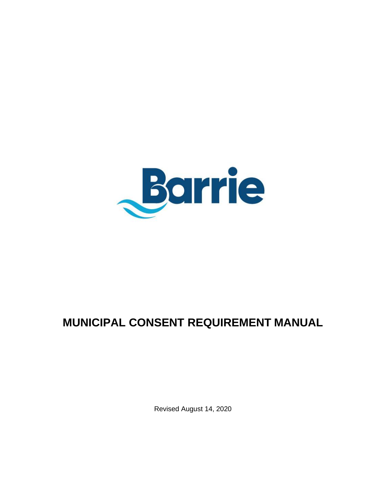

# **MUNICIPAL CONSENT REQUIREMENT MANUAL**

Revised August 14, 2020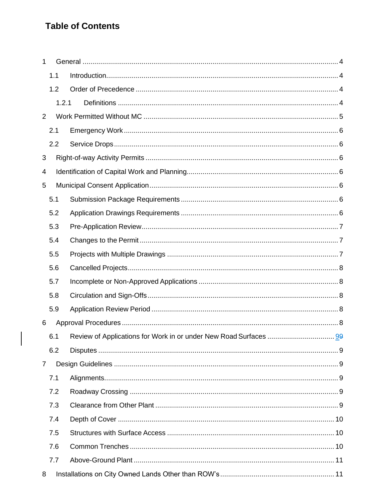## **Table of Contents**

 $\overline{\phantom{a}}$ 

| 1              |       |  |  |  |  |
|----------------|-------|--|--|--|--|
| 1.1            |       |  |  |  |  |
| 1.2            |       |  |  |  |  |
|                | 1.2.1 |  |  |  |  |
| $\overline{2}$ |       |  |  |  |  |
| 2.1            |       |  |  |  |  |
| 2.2            |       |  |  |  |  |
| 3              |       |  |  |  |  |
| 4              |       |  |  |  |  |
| 5              |       |  |  |  |  |
| 5.1            |       |  |  |  |  |
| 5.2            |       |  |  |  |  |
| 5.3            |       |  |  |  |  |
| 5.4            |       |  |  |  |  |
| 5.5            |       |  |  |  |  |
| 5.6            |       |  |  |  |  |
| 5.7            |       |  |  |  |  |
| 5.8            |       |  |  |  |  |
| 5.9            |       |  |  |  |  |
| 6              |       |  |  |  |  |
| 6.1            |       |  |  |  |  |
| 6.2            |       |  |  |  |  |
| $\overline{7}$ |       |  |  |  |  |
| 7.1            |       |  |  |  |  |
| 7.2            |       |  |  |  |  |
| 7.3            |       |  |  |  |  |
| 7.4            |       |  |  |  |  |
| 7.5            |       |  |  |  |  |
| 7.6            |       |  |  |  |  |
| 7.7            |       |  |  |  |  |
| 8              |       |  |  |  |  |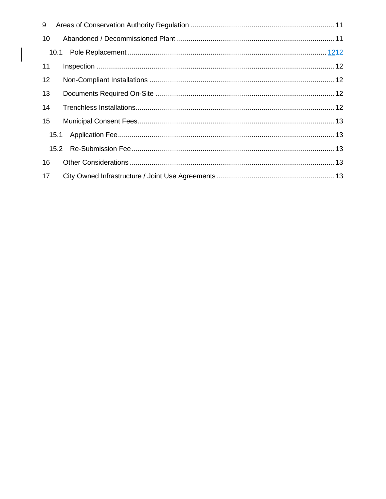| 9    |      |  |
|------|------|--|
| 10   |      |  |
|      | 10.1 |  |
| 11   |      |  |
| 12   |      |  |
| 13   |      |  |
| 14   |      |  |
| 15   |      |  |
| 15.1 |      |  |
|      |      |  |
| 16   |      |  |
| 17   |      |  |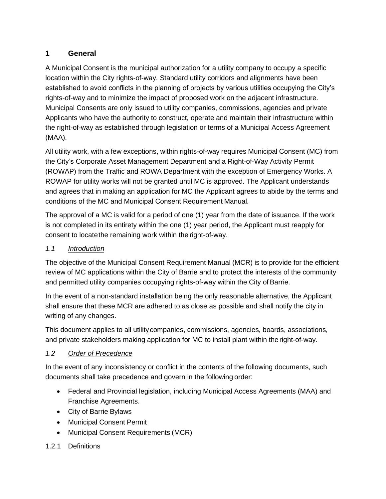## <span id="page-3-0"></span>**1 General**

A Municipal Consent is the municipal authorization for a utility company to occupy a specific location within the City rights-of-way. Standard utility corridors and alignments have been established to avoid conflicts in the planning of projects by various utilities occupying the City's rights-of-way and to minimize the impact of proposed work on the adjacent infrastructure. Municipal Consents are only issued to utility companies, commissions, agencies and private Applicants who have the authority to construct, operate and maintain their infrastructure within the right-of-way as established through legislation or terms of a Municipal Access Agreement (MAA).

All utility work, with a few exceptions, within rights-of-way requires Municipal Consent (MC) from the City's Corporate Asset Management Department and a Right-of-Way Activity Permit (ROWAP) from the Traffic and ROWA Department with the exception of Emergency Works. A ROWAP for utility works will not be granted until MC is approved. The Applicant understands and agrees that in making an application for MC the Applicant agrees to abide by the terms and conditions of the MC and Municipal Consent Requirement Manual.

The approval of a MC is valid for a period of one (1) year from the date of issuance. If the work is not completed in its entirety within the one (1) year period, the Applicant must reapply for consent to locatethe remaining work within the right-of-way.

#### <span id="page-3-1"></span>*1.1 Introduction*

The objective of the Municipal Consent Requirement Manual (MCR) is to provide for the efficient review of MC applications within the City of Barrie and to protect the interests of the community and permitted utility companies occupying rights-of-way within the City of Barrie.

In the event of a non-standard installation being the only reasonable alternative, the Applicant shall ensure that these MCR are adhered to as close as possible and shall notify the city in writing of any changes.

This document applies to all utilitycompanies, commissions, agencies, boards, associations, and private stakeholders making application for MC to install plant within the right-of-way.

#### <span id="page-3-2"></span>*1.2 Order of Precedence*

In the event of any inconsistency or conflict in the contents of the following documents, such documents shall take precedence and govern in the following order:

- Federal and Provincial legislation, including Municipal Access Agreements (MAA) and Franchise Agreements.
- City of Barrie Bylaws
- Municipal Consent Permit
- Municipal Consent Requirements (MCR)

#### <span id="page-3-3"></span>1.2.1 Definitions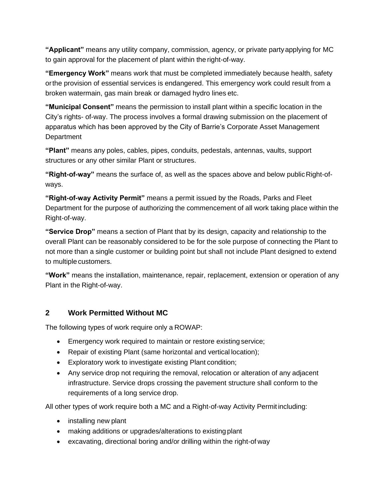**"Applicant"** means any utility company, commission, agency, or private partyapplying for MC to gain approval for the placement of plant within the right-of-way.

**"Emergency Work"** means work that must be completed immediately because health, safety orthe provision of essential services is endangered. This emergency work could result from a broken watermain, gas main break or damaged hydro lines etc.

**"Municipal Consent"** means the permission to install plant within a specific location in the City's rights- of-way. The process involves a formal drawing submission on the placement of apparatus which has been approved by the City of Barrie's Corporate Asset Management **Department** 

**"Plant"** means any poles, cables, pipes, conduits, pedestals, antennas, vaults, support structures or any other similar Plant or structures.

**"Right-of-way"** means the surface of, as well as the spaces above and below publicRight-ofways.

**"Right-of-way Activity Permit"** means a permit issued by the Roads, Parks and Fleet Department for the purpose of authorizing the commencement of all work taking place within the Right-of-way.

**"Service Drop"** means a section of Plant that by its design, capacity and relationship to the overall Plant can be reasonably considered to be for the sole purpose of connecting the Plant to not more than a single customer or building point but shall not include Plant designed to extend to multiple customers.

**"Work"** means the installation, maintenance, repair, replacement, extension or operation of any Plant in the Right-of-way.

#### <span id="page-4-0"></span>**2 Work Permitted Without MC**

The following types of work require only a ROWAP:

- Emergency work required to maintain or restore existing service;
- Repair of existing Plant (same horizontal and vertical location);
- Exploratory work to investigate existing Plant condition;
- Any service drop not requiring the removal, relocation or alteration of any adjacent infrastructure. Service drops crossing the pavement structure shall conform to the requirements of a long service drop.

All other types of work require both a MC and a Right-of-way Activity Permit including:

- installing new plant
- making additions or upgrades/alterations to existing plant
- excavating, directional boring and/or drilling within the right-of way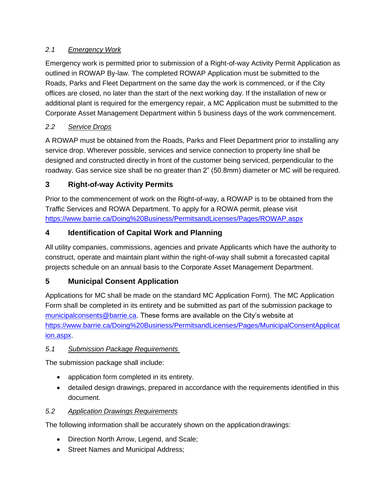#### <span id="page-5-0"></span>*2.1 Emergency Work*

Emergency work is permitted prior to submission of a Right-of-way Activity Permit Application as outlined in ROWAP By-law. The completed ROWAP Application must be submitted to the Roads, Parks and Fleet Department on the same day the work is commenced, or if the City offices are closed, no later than the start of the next working day. If the installation of new or additional plant is required for the emergency repair, a MC Application must be submitted to the Corporate Asset Management Department within 5 business days of the work commencement.

## <span id="page-5-1"></span>*2.2 Service Drops*

A ROWAP must be obtained from the Roads, Parks and Fleet Department prior to installing any service drop. Wherever possible, services and service connection to property line shall be designed and constructed directly in front of the customer being serviced, perpendicular to the roadway. Gas service size shall be no greater than 2" (50.8mm) diameter or MC will be required.

## <span id="page-5-2"></span>**3 Right-of-way Activity Permits**

Prior to the commencement of work on the Right-of-way, a ROWAP is to be obtained from the Traffic Services and ROWA Department. To apply for a ROWA permit, please visit <https://www.barrie.ca/Doing%20Business/PermitsandLicenses/Pages/ROWAP.aspx>

## <span id="page-5-3"></span>**4 Identification of Capital Work and Planning**

All utility companies, commissions, agencies and private Applicants which have the authority to construct, operate and maintain plant within the right-of-way shall submit a forecasted capital projects schedule on an annual basis to the Corporate Asset Management Department.

## <span id="page-5-4"></span>**5 Municipal Consent Application**

Applications for MC shall be made on the standard MC Application Form). The MC Application Form shall be completed in its entirety and be submitted as part of the submission package to [municipalconsents@barrie.ca.](mailto:municipalconsents@barrie.ca) These forms are available on the City's website at [https://www.barrie.ca/Doing%20Business/PermitsandLicenses/Pages/MunicipalConsentApplicat](https://www.barrie.ca/Doing%20Business/PermitsandLicenses/Pages/MunicipalConsentApplication.aspx) [ion.aspx.](https://www.barrie.ca/Doing%20Business/PermitsandLicenses/Pages/MunicipalConsentApplication.aspx)

#### <span id="page-5-5"></span>*5.1 Submission Package Requirements*

The submission package shall include:

- application form completed in its entirety.
- detailed design drawings, prepared in accordance with the requirements identified in this document.

## <span id="page-5-6"></span>*5.2 Application Drawings Requirements*

The following information shall be accurately shown on the application drawings:

- Direction North Arrow, Legend, and Scale;
- Street Names and Municipal Address;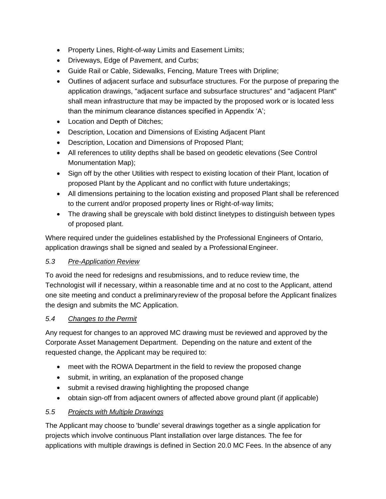- Property Lines, Right-of-way Limits and Easement Limits;
- Driveways, Edge of Pavement, and Curbs;
- Guide Rail or Cable, Sidewalks, Fencing, Mature Trees with Dripline;
- Outlines of adjacent surface and subsurface structures. For the purpose of preparing the application drawings, "adjacent surface and subsurface structures" and "adjacent Plant" shall mean infrastructure that may be impacted by the proposed work or is located less than the minimum clearance distances specified in Appendix 'A';
- Location and Depth of Ditches;
- Description, Location and Dimensions of Existing Adjacent Plant
- Description, Location and Dimensions of Proposed Plant;
- All references to utility depths shall be based on geodetic elevations (See [Control](http://www.barrie.ca/Doing%20Business/PlanningandDevelopment/Documents/Control%20Monument%20Map.pdf)  [Monumentation Map\)](http://www.barrie.ca/Doing%20Business/PlanningandDevelopment/Documents/Control%20Monument%20Map.pdf);
- Sign off by the other Utilities with respect to existing location of their Plant, location of proposed Plant by the Applicant and no conflict with future undertakings;
- All dimensions pertaining to the location existing and proposed Plant shall be referenced to the current and/or proposed property lines or Right-of-way limits;
- The drawing shall be greyscale with bold distinct linetypes to distinguish between types of proposed plant.

Where required under the guidelines established by the Professional Engineers of Ontario, application drawings shall be signed and sealed by a ProfessionalEngineer.

#### <span id="page-6-0"></span>*5.3 Pre-Application Review*

To avoid the need for redesigns and resubmissions, and to reduce review time, the Technologist will if necessary, within a reasonable time and at no cost to the Applicant, attend one site meeting and conduct a preliminaryreview of the proposal before the Applicant finalizes the design and submits the MC Application.

#### <span id="page-6-1"></span>*5.4 Changes to the Permit*

Any request for changes to an approved MC drawing must be reviewed and approved by the Corporate Asset Management Department. Depending on the nature and extent of the requested change, the Applicant may be required to:

- meet with the ROWA Department in the field to review the proposed change
- submit, in writing, an explanation of the proposed change
- submit a revised drawing highlighting the proposed change
- obtain sign-off from adjacent owners of affected above ground plant (if applicable)

#### <span id="page-6-2"></span>*5.5 Projects with Multiple Drawings*

The Applicant may choose to 'bundle' several drawings together as a single application for projects which involve continuous Plant installation over large distances. The fee for applications with multiple drawings is defined in Section 20.0 MC Fees. In the absence of any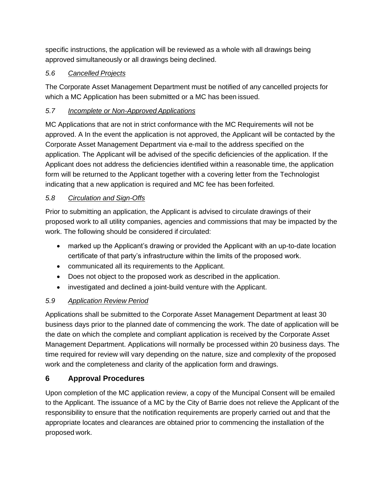specific instructions, the application will be reviewed as a whole with all drawings being approved simultaneously or all drawings being declined.

## <span id="page-7-0"></span>*5.6 Cancelled Projects*

The Corporate Asset Management Department must be notified of any cancelled projects for which a MC Application has been submitted or a MC has been issued.

## <span id="page-7-1"></span>*5.7 Incomplete or Non-Approved Applications*

MC Applications that are not in strict conformance with the MC Requirements will not be approved. A In the event the application is not approved, the Applicant will be contacted by the Corporate Asset Management Department via e-mail to the address specified on the application. The Applicant will be advised of the specific deficiencies of the application. If the Applicant does not address the deficiencies identified within a reasonable time, the application form will be returned to the Applicant together with a covering letter from the Technologist indicating that a new application is required and MC fee has been forfeited.

#### <span id="page-7-2"></span>*5.8 Circulation and Sign-Offs*

Prior to submitting an application, the Applicant is advised to circulate drawings of their proposed work to all utility companies, agencies and commissions that may be impacted by the work. The following should be considered if circulated:

- marked up the Applicant's drawing or provided the Applicant with an up-to-date location certificate of that party's infrastructure within the limits of the proposed work.
- communicated all its requirements to the Applicant.
- Does not object to the proposed work as described in the application.
- investigated and declined a joint-build venture with the Applicant.

## <span id="page-7-3"></span>*5.9 Application Review Period*

Applications shall be submitted to the Corporate Asset Management Department at least 30 business days prior to the planned date of commencing the work. The date of application will be the date on which the complete and compliant application is received by the Corporate Asset Management Department. Applications will normally be processed within 20 business days. The time required for review will vary depending on the nature, size and complexity of the proposed work and the completeness and clarity of the application form and drawings.

## <span id="page-7-4"></span>**6 Approval Procedures**

<span id="page-7-5"></span>Upon completion of the MC application review, a copy of the Muncipal Consent will be emailed to the Applicant. The issuance of a MC by the City of Barrie does not relieve the Applicant of the responsibility to ensure that the notification requirements are properly carried out and that the appropriate locates and clearances are obtained prior to commencing the installation of the proposed work.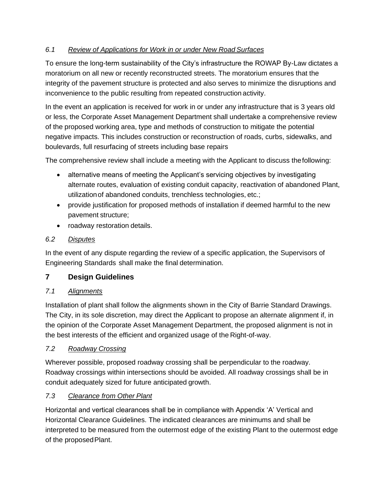#### *6.1 Review of Applications for Work in or under New Road Surfaces*

To ensure the long-term sustainability of the City's infrastructure the ROWAP By-Law dictates a moratorium on all new or recently reconstructed streets. The moratorium ensures that the integrity of the pavement structure is protected and also serves to minimize the disruptions and inconvenience to the public resulting from repeated construction activity.

In the event an application is received for work in or under any infrastructure that is 3 years old or less, the Corporate Asset Management Department shall undertake a comprehensive review of the proposed working area, type and methods of construction to mitigate the potential negative impacts. This includes construction or reconstruction of roads, curbs, sidewalks, and boulevards, full resurfacing of streets including base repairs

The comprehensive review shall include a meeting with the Applicant to discuss thefollowing:

- alternative means of meeting the Applicant's servicing objectives by investigating alternate routes, evaluation of existing conduit capacity, reactivation of abandoned Plant, utilizationof abandoned conduits, trenchless technologies, etc.;
- provide justification for proposed methods of installation if deemed harmful to the new pavement structure;
- roadway restoration details.

#### <span id="page-8-0"></span>*6.2 Disputes*

In the event of any dispute regarding the review of a specific application, the Supervisors of Engineering Standards shall make the final determination.

## <span id="page-8-1"></span>**7 Design Guidelines**

#### <span id="page-8-2"></span>*7.1 Alignments*

Installation of plant shall follow the alignments shown in the City of Barrie Standard Drawings. The City, in its sole discretion, may direct the Applicant to propose an alternate alignment if, in the opinion of the Corporate Asset Management Department, the proposed alignment is not in the best interests of the efficient and organized usage of the Right-of-way.

#### <span id="page-8-3"></span>*7.2 Roadway Crossing*

Wherever possible, proposed roadway crossing shall be perpendicular to the roadway. Roadway crossings within intersections should be avoided. All roadway crossings shall be in conduit adequately sized for future anticipated growth.

#### <span id="page-8-4"></span>*7.3 Clearance from Other Plant*

Horizontal and vertical clearances shall be in compliance with Appendix 'A' Vertical and Horizontal Clearance Guidelines. The indicated clearances are minimums and shall be interpreted to be measured from the outermost edge of the existing Plant to the outermost edge of the proposed Plant.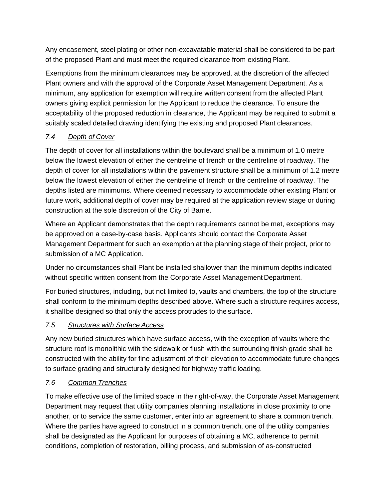Any encasement, steel plating or other non-excavatable material shall be considered to be part of the proposed Plant and must meet the required clearance from existingPlant.

Exemptions from the minimum clearances may be approved, at the discretion of the affected Plant owners and with the approval of the Corporate Asset Management Department. As a minimum, any application for exemption will require written consent from the affected Plant owners giving explicit permission for the Applicant to reduce the clearance. To ensure the acceptability of the proposed reduction in clearance, the Applicant may be required to submit a suitably scaled detailed drawing identifying the existing and proposed Plant clearances.

## <span id="page-9-0"></span>*7.4 Depth of Cover*

The depth of cover for all installations within the boulevard shall be a minimum of 1.0 metre below the lowest elevation of either the centreline of trench or the centreline of roadway. The depth of cover for all installations within the pavement structure shall be a minimum of 1.2 metre below the lowest elevation of either the centreline of trench or the centreline of roadway. The depths listed are minimums. Where deemed necessary to accommodate other existing Plant or future work, additional depth of cover may be required at the application review stage or during construction at the sole discretion of the City of Barrie.

Where an Applicant demonstrates that the depth requirements cannot be met, exceptions may be approved on a case-by-case basis. Applicants should contact the Corporate Asset Management Department for such an exemption at the planning stage of their project, prior to submission of a MC Application.

Under no circumstances shall Plant be installed shallower than the minimum depths indicated without specific written consent from the Corporate Asset Management Department.

For buried structures, including, but not limited to, vaults and chambers, the top of the structure shall conform to the minimum depths described above. Where such a structure requires access, it shallbe designed so that only the access protrudes to the surface.

#### <span id="page-9-1"></span>*7.5 Structures with Surface Access*

Any new buried structures which have surface access, with the exception of vaults where the structure roof is monolithic with the sidewalk or flush with the surrounding finish grade shall be constructed with the ability for fine adjustment of their elevation to accommodate future changes to surface grading and structurally designed for highway traffic loading.

#### <span id="page-9-2"></span>*7.6 Common Trenches*

To make effective use of the limited space in the right-of-way, the Corporate Asset Management Department may request that utility companies planning installations in close proximity to one another, or to service the same customer, enter into an agreement to share a common trench. Where the parties have agreed to construct in a common trench, one of the utility companies shall be designated as the Applicant for purposes of obtaining a MC, adherence to permit conditions, completion of restoration, billing process, and submission of as-constructed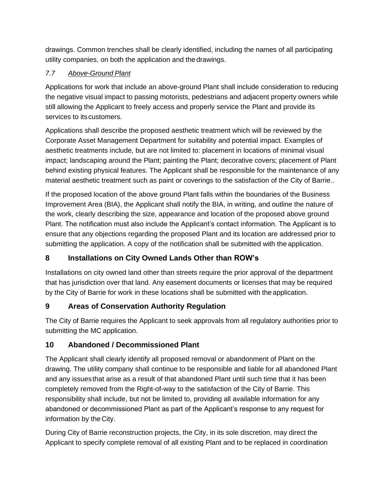drawings. Common trenches shall be clearly identified, including the names of all participating utility companies, on both the application and the drawings.

## <span id="page-10-0"></span>*7.7 Above-Ground Plant*

Applications for work that include an above-ground Plant shall include consideration to reducing the negative visual impact to passing motorists, pedestrians and adjacent property owners while still allowing the Applicant to freely access and properly service the Plant and provide its services to its customers.

Applications shall describe the proposed aesthetic treatment which will be reviewed by the Corporate Asset Management Department for suitability and potential impact. Examples of aesthetic treatments include, but are not limited to: placement in locations of minimal visual impact; landscaping around the Plant; painting the Plant; decorative covers; placement of Plant behind existing physical features. The Applicant shall be responsible for the maintenance of any material aesthetic treatment such as paint or coverings to the satisfaction of the City of Barrie..

If the proposed location of the above ground Plant falls within the boundaries of the Business Improvement Area (BIA), the Applicant shall notify the BIA, in writing, and outline the nature of the work, clearly describing the size, appearance and location of the proposed above ground Plant. The notification must also include the Applicant's contact information. The Applicant is to ensure that any objections regarding the proposed Plant and its location are addressed prior to submitting the application. A copy of the notification shall be submitted with the application.

## <span id="page-10-1"></span>**8 Installations on City Owned Lands Other than ROW's**

Installations on city owned land other than streets require the prior approval of the department that has jurisdiction over that land. Any easement documents or licenses that may be required by the City of Barrie for work in these locations shall be submitted with the application.

## <span id="page-10-2"></span>**9 Areas of Conservation Authority Regulation**

The City of Barrie requires the Applicant to seek approvals from all regulatory authorities prior to submitting the MC application.

## <span id="page-10-3"></span>**10 Abandoned / Decommissioned Plant**

The Applicant shall clearly identify all proposed removal or abandonment of Plant on the drawing. The utility company shall continue to be responsible and liable for all abandoned Plant and any issuesthat arise as a result of that abandoned Plant until such time that it has been completely removed from the Right-of-way to the satisfaction of the City of Barrie. This responsibility shall include, but not be limited to, providing all available information for any abandoned or decommissioned Plant as part of the Applicant's response to any request for information by the City.

During City of Barrie reconstruction projects, the City, in its sole discretion, may direct the Applicant to specify complete removal of all existing Plant and to be replaced in coordination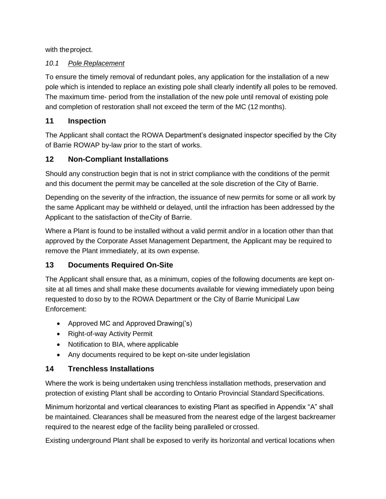with theproject.

#### <span id="page-11-0"></span>*10.1 Pole Replacement*

To ensure the timely removal of redundant poles, any application for the installation of a new pole which is intended to replace an existing pole shall clearly indentify all poles to be removed. The maximum time- period from the installation of the new pole until removal of existing pole and completion of restoration shall not exceed the term of the MC (12 months).

#### <span id="page-11-1"></span>**11 Inspection**

The Applicant shall contact the ROWA Department's designated inspector specified by the City of Barrie ROWAP by-law prior to the start of works.

## <span id="page-11-2"></span>**12 Non-Compliant Installations**

Should any construction begin that is not in strict compliance with the conditions of the permit and this document the permit may be cancelled at the sole discretion of the City of Barrie.

Depending on the severity of the infraction, the issuance of new permits for some or all work by the same Applicant may be withheld or delayed, until the infraction has been addressed by the Applicant to the satisfaction of theCity of Barrie.

Where a Plant is found to be installed without a valid permit and/or in a location other than that approved by the Corporate Asset Management Department, the Applicant may be required to remove the Plant immediately, at its own expense.

## <span id="page-11-3"></span>**13 Documents Required On-Site**

The Applicant shall ensure that, as a minimum, copies of the following documents are kept onsite at all times and shall make these documents available for viewing immediately upon being requested to doso by to the ROWA Department or the City of Barrie Municipal Law Enforcement:

- Approved MC and Approved Drawing('s)
- Right-of-way Activity Permit
- Notification to BIA, where applicable
- Any documents required to be kept on-site under legislation

## <span id="page-11-4"></span>**14 Trenchless Installations**

Where the work is being undertaken using trenchless installation methods, preservation and protection of existing Plant shall be according to Ontario Provincial Standard Specifications.

Minimum horizontal and vertical clearances to existing Plant as specified in Appendix "A" shall be maintained. Clearances shall be measured from the nearest edge of the largest backreamer required to the nearest edge of the facility being paralleled or crossed.

Existing underground Plant shall be exposed to verify its horizontal and vertical locations when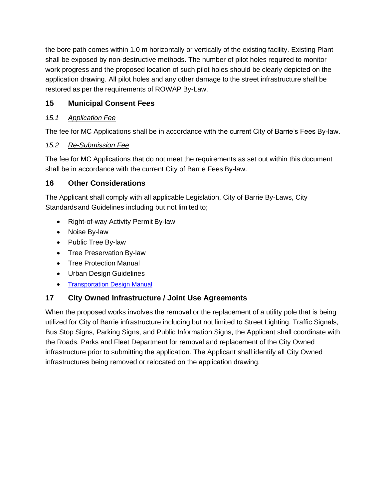the bore path comes within 1.0 m horizontally or vertically of the existing facility. Existing Plant shall be exposed by non-destructive methods. The number of pilot holes required to monitor work progress and the proposed location of such pilot holes should be clearly depicted on the application drawing. All pilot holes and any other damage to the street infrastructure shall be restored as per the requirements of ROWAP By-Law.

## <span id="page-12-0"></span>**15 Municipal Consent Fees**

#### <span id="page-12-1"></span>*15.1 Application Fee*

The fee for MC Applications shall be in accordance with the current City of Barrie's Fees By-law.

#### <span id="page-12-2"></span>*15.2 Re-Submission Fee*

The fee for MC Applications that do not meet the requirements as set out within this document shall be in accordance with the current City of Barrie Fees By-law.

#### <span id="page-12-3"></span>**16 Other Considerations**

The Applicant shall comply with all applicable Legislation, City of Barrie By-Laws, City Standardsand Guidelines including but not limited to;

- Right-of-way Activity Permit By-law
- Noise By-law
- Public Tree By-law
- Tree Preservation By-law
- Tree Protection Manual
- [Urban Design](http://www.barrie.ca/Doing%20Business/PlanningandDevelopment/Documents/UrbanDesignManual-DevlopmentProcess.pdf) Guidelines
- [Transportation Design Manual](https://www.barrie.ca/City%20Hall/Planning-and-Development/Engineering-Resources/Documents/City-Standards/Barrie-Transportation-Design-Manual.pdf)

#### <span id="page-12-4"></span>**17 City Owned Infrastructure / Joint Use Agreements**

When the proposed works involves the removal or the replacement of a utility pole that is being utilized for City of Barrie infrastructure including but not limited to Street Lighting, Traffic Signals, Bus Stop Signs, Parking Signs, and Public Information Signs, the Applicant shall coordinate with the Roads, Parks and Fleet Department for removal and replacement of the City Owned infrastructure prior to submitting the application. The Applicant shall identify all City Owned infrastructures being removed or relocated on the application drawing.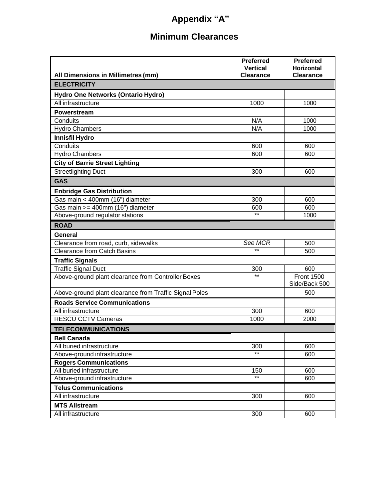# **Appendix "A"**

## **Minimum Clearances**

 $\begin{array}{c} \begin{array}{c} \end{array} \end{array}$ 

|                                                        | <b>Preferred</b>                    | <b>Preferred</b><br><b>Horizontal</b> |  |  |  |
|--------------------------------------------------------|-------------------------------------|---------------------------------------|--|--|--|
| All Dimensions in Millimetres (mm)                     | <b>Vertical</b><br><b>Clearance</b> | <b>Clearance</b>                      |  |  |  |
| <b>ELECTRICITY</b>                                     |                                     |                                       |  |  |  |
| Hydro One Networks (Ontario Hydro)                     |                                     |                                       |  |  |  |
| All infrastructure                                     | 1000                                | 1000                                  |  |  |  |
| Powerstream                                            |                                     |                                       |  |  |  |
| Conduits                                               | N/A                                 | 1000                                  |  |  |  |
| <b>Hydro Chambers</b>                                  | N/A                                 | 1000                                  |  |  |  |
| <b>Innisfil Hydro</b>                                  |                                     |                                       |  |  |  |
| Conduits                                               | 600                                 | 600                                   |  |  |  |
| <b>Hydro Chambers</b>                                  | 600                                 | 600                                   |  |  |  |
| <b>City of Barrie Street Lighting</b>                  |                                     |                                       |  |  |  |
| <b>Streetlighting Duct</b>                             | 300                                 | 600                                   |  |  |  |
| <b>GAS</b>                                             |                                     |                                       |  |  |  |
| <b>Enbridge Gas Distribution</b>                       |                                     |                                       |  |  |  |
| Gas main < 400mm (16") diameter                        | 300                                 | 600                                   |  |  |  |
| Gas main >= 400mm (16") diameter                       | 600                                 | 600                                   |  |  |  |
| Above-ground regulator stations                        | $***$                               | 1000                                  |  |  |  |
| <b>ROAD</b>                                            |                                     |                                       |  |  |  |
| General                                                |                                     |                                       |  |  |  |
| Clearance from road, curb, sidewalks                   | See MCR                             | 500                                   |  |  |  |
| <b>Clearance from Catch Basins</b>                     | $***$                               | 500                                   |  |  |  |
| <b>Traffic Signals</b>                                 |                                     |                                       |  |  |  |
| <b>Traffic Signal Duct</b>                             | 300                                 | 600                                   |  |  |  |
| Above-ground plant clearance from Controller Boxes     | $***$                               | <b>Front 1500</b><br>Side/Back 500    |  |  |  |
| Above-ground plant clearance from Traffic Signal Poles |                                     | 500                                   |  |  |  |
| <b>Roads Service Communications</b>                    |                                     |                                       |  |  |  |
| All infrastructure                                     | 300                                 | 600                                   |  |  |  |
| <b>RESCU CCTV Cameras</b>                              | 1000                                | 2000                                  |  |  |  |
| <b>TELECOMMUNICATIONS</b>                              |                                     |                                       |  |  |  |
| <b>Bell Canada</b>                                     |                                     |                                       |  |  |  |
| All buried infrastructure                              | $\overline{3}00$                    | 600                                   |  |  |  |
| Above-ground infrastructure                            | $\overline{**}$                     | 600                                   |  |  |  |
| <b>Rogers Communications</b>                           |                                     |                                       |  |  |  |
| All buried infrastructure                              | 150                                 | 600                                   |  |  |  |
| Above-ground infrastructure                            | $***$                               | 600                                   |  |  |  |
| <b>Telus Communications</b>                            |                                     |                                       |  |  |  |
| All infrastructure                                     | 300                                 | 600                                   |  |  |  |
| <b>MTS Allstream</b>                                   |                                     |                                       |  |  |  |
| All infrastructure                                     | 300                                 | 600                                   |  |  |  |